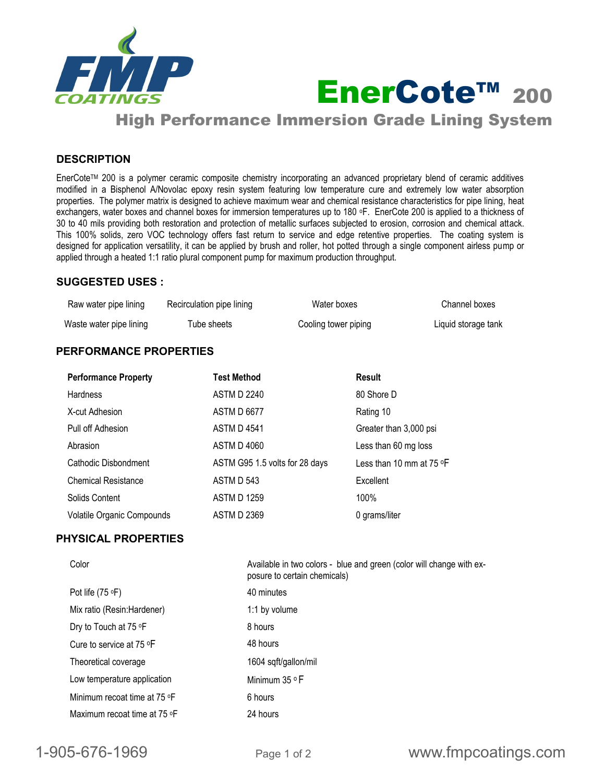

**EnerCote™ 200** 

High Performance Immersion Grade Lining System

# **DESCRIPTION**

EnerCoteTM 200 is a polymer ceramic composite chemistry incorporating an advanced proprietary blend of ceramic additives modified in a Bisphenol A/Novolac epoxy resin system featuring low temperature cure and extremely low water absorption properties. The polymer matrix is designed to achieve maximum wear and chemical resistance characteristics for pipe lining, heat exchangers, water boxes and channel boxes for immersion temperatures up to 180 oF. EnerCote 200 is applied to a thickness of 30 to 40 mils providing both restoration and protection of metallic surfaces subjected to erosion, corrosion and chemical attack. This 100% solids, zero VOC technology offers fast return to service and edge retentive properties. The coating system is designed for application versatility, it can be applied by brush and roller, hot potted through a single component airless pump or applied through a heated 1:1 ratio plural component pump for maximum production throughput.

## **SUGGESTED USES :**

| Raw water pipe lining   | Recirculation pipe lining | Water boxes          | Channel boxes       |
|-------------------------|---------------------------|----------------------|---------------------|
| Waste water pipe lining | Tube sheets               | Cooling tower piping | Liquid storage tank |

# **PERFORMANCE PROPERTIES**

| <b>Performance Property</b>       | <b>Test Method</b>             | Result                                |
|-----------------------------------|--------------------------------|---------------------------------------|
| <b>Hardness</b>                   | <b>ASTM D 2240</b>             | 80 Shore D                            |
| X-cut Adhesion                    | <b>ASTM D 6677</b>             | Rating 10                             |
| Pull off Adhesion                 | <b>ASTM D 4541</b>             | Greater than 3,000 psi                |
| Abrasion                          | <b>ASTM D 4060</b>             | Less than 60 mg loss                  |
| Cathodic Disbondment              | ASTM G95 1.5 volts for 28 days | Less than 10 mm at 75 $\textdegree$ F |
| <b>Chemical Resistance</b>        | ASTM D 543                     | Excellent                             |
| Solids Content                    | <b>ASTM D 1259</b>             | 100%                                  |
| <b>Volatile Organic Compounds</b> | <b>ASTM D 2369</b>             | 0 grams/liter                         |

# **PHYSICAL PROPERTIES**

| Color                        | Available in two colors - blue and green (color will change with ex-<br>posure to certain chemicals) |
|------------------------------|------------------------------------------------------------------------------------------------------|
| Pot life (75 °F)             | 40 minutes                                                                                           |
| Mix ratio (Resin:Hardener)   | 1:1 by volume                                                                                        |
| Dry to Touch at 75 °F        | 8 hours                                                                                              |
| Cure to service at 75 ºF     | 48 hours                                                                                             |
| Theoretical coverage         | 1604 sqft/gallon/mil                                                                                 |
| Low temperature application  | Minimum 35 ° F                                                                                       |
| Minimum recoat time at 75 °F | 6 hours                                                                                              |
| Maximum recoat time at 75 °F | 24 hours                                                                                             |
|                              |                                                                                                      |